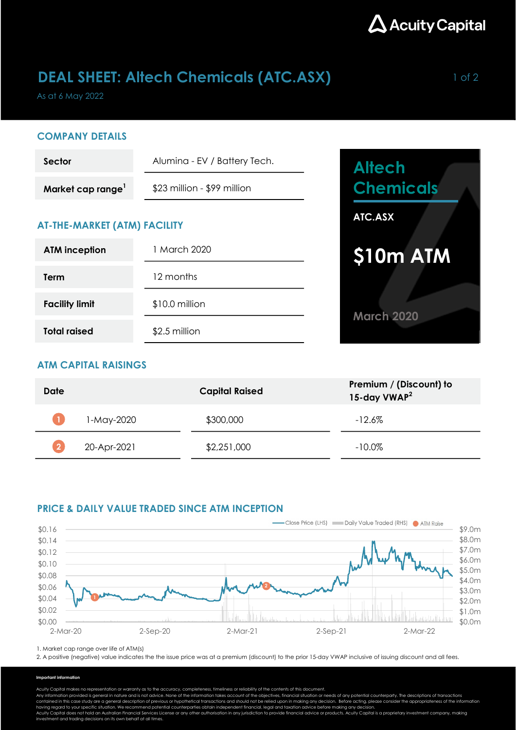

## **DEAL SHEET: Altech Chemicals (ATC.ASX)** 1 of 2

As at 6 May 2022

### COMPANY DETAILS

| Sector           | Alumina - EV / Battery Tech. |  |
|------------------|------------------------------|--|
| Market cap range | \$23 million - \$99 million  |  |

## AT-THE-MARKET (ATM) FACILITY

| <b>ATM</b> inception  | 1 March 2020   |  |  |
|-----------------------|----------------|--|--|
| <b>Term</b>           | 12 months      |  |  |
| <b>Facility limit</b> | \$10.0 million |  |  |
| <b>Total raised</b>   | \$2.5 million  |  |  |



## ATM CAPITAL RAISINGS

| Date |             | <b>Capital Raised</b> | Premium / (Discount) to<br>15-day VWAP <sup>2</sup> |
|------|-------------|-----------------------|-----------------------------------------------------|
|      | 1-May-2020  | \$300,000             | $-12.6\%$                                           |
|      | 20-Apr-2021 | \$2,251,000           | $-10.0\%$                                           |

## PRICE & DAILY VALUE TRADED SINCE ATM INCEPTION



1. Market cap range over life of ATM(s)

2. A positive (negative) value indicates the the issue price was at a premium (discount) to the prior 15-day VWAP inclusive of issuing discount and all fees.

#### Important information

Acuity Capital makes no representation or warranty as to the accuracy, completeness, timeliness or reliability of the contents of this document.

Any information provided is general in nature and is not advice. None of the information takes account of the objectives, financial situation or needs of any potential counterparty. The descriptions of transactions<br>contain

having regard to your specific situation. We recommend potential counterparties obtain independent financial, legal and taxation advice before making any decision.<br>Acuity Capital does not hold an Australian Financial Servi investment and trading decisions on its own behalf at all times.